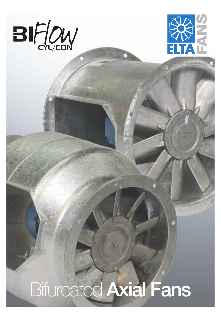



# Bifurcated Axial Fans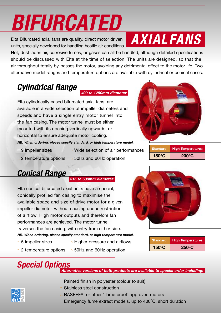# *BIFURCATED*

Elta Bifurcated axial fans are quality, direct motor driven units, specially developed for handling hostile air conditions.

## *AXIAL FANS*

Hot, dust laden air, corrosive fumes, or gases can all be handled, although detailed specifications should be discussed with Elta at the time of selection. The units are designed, so that the air throughput totally by-passes the motor, avoiding any detrimental effect to the motor life. Two alternative model ranges and temperature options are available with cylindrical or conical cases.

## *Cylindrical Range*

*400 to 1250mm diameter*

Elta cylindrically cased bifurcated axial fans, are available in a wide selection of impeller diameters and speeds and have a single entry motor tunnel into the fan casing. The motor tunnel must be either mounted with its opening vertically upwards, or horizontal to ensure adequate motor cooling.

*NB. When ordering, please specify standard, or high temperature model.*

- n 9 impeller sizes
- n Wide selection of air performances
- n 2 temperature options n 50Hz and 60Hz operation
- 

## *Conical Range*

#### *315 to 630mm diameter*

Elta conical bifurcated axial units have a special, conically profiled fan casing to maximise the available space and size of drive motor for a given impeller diameter, without causing undue restriction of airflow. High motor outputs and therefore fan performances are achieved. The motor tunnel traverses the fan casing, with entry from either side. *NB. When ordering, please specify standard, or high temperature model.*

- n 5 impeller sizes
- n Higher pressure and airflows
- n 2 temperature options n 50Hz and 60Hz operation
- 



| <b>Standard</b> | <b>High Temperatures</b> |  |  |  |  |
|-----------------|--------------------------|--|--|--|--|
| $150^{\circ}$ C | $250^{\circ}$ C          |  |  |  |  |

**Standard High Temperatures**

**150OC 200OC**

## *Special Options*

*Alternative versions of both products are available to special order including:*

- n Painted finish in polyester (colour to suit)
- n Stainless steel construction
- n BASEEFA, or other 'flame proof' approved motors
- Emergency fume extract models, up to  $400^{\circ}$ C, short duration

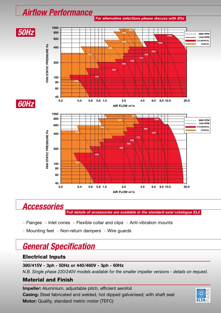### *Airflow Performance*



### *Accessories*

*Full details of accessories are available in the standard axial catalogue EL2*

- $n$  Flanges  $n$  Inlet cones  $n$  Flexible collar and clips  $n$  Anti-vibration mounts
- n Mounting feet n Non-return dampers n Wire guards

## *General Specification*

#### **Electrical Inputs**

#### **380/415V - 3ph - 50Hz or 440/460V - 3ph - 60Hz**

*N.B. Single phase 220/240V models available for the smaller impeller versions - details on request.*

#### **Material and Finish**

**Impeller:** Aluminium, adjustable pitch, efficient aerofoil **Casing:** Steel fabricated and welded, hot dipped galvanised; with shaft seal **Motor:** Quality, standard metric motor (TEFC)